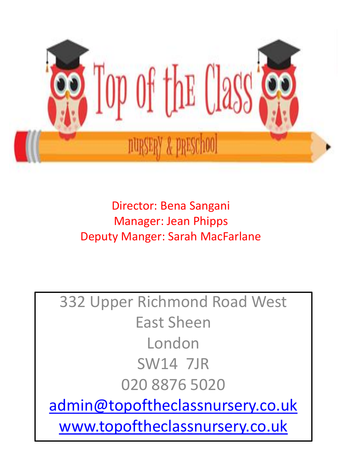

Director: Bena Sangani Manager: Jean Phipps Deputy Manger: Sarah MacFarlane

332 Upper Richmond Road West East Sheen London SW14 7JR 020 8876 5020 [admin@topoftheclassnursery.co.uk](mailto:admin@topoftheclassnursery.co.uk)

[www.topoftheclassnursery.co.uk](http://www.topoftheclassnursery.co.uk/)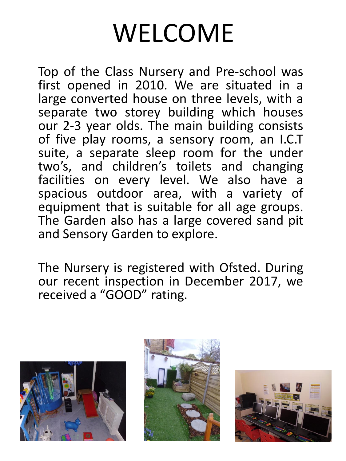### WELCOME

Top of the Class Nursery and Pre-school was first opened in 2010. We are situated in a large converted house on three levels, with a separate two storey building which houses our 2-3 year olds. The main building consists of five play rooms, a sensory room, an I.C.T suite, a separate sleep room for the under two's, and children's toilets and changing facilities on every level. We also have a spacious outdoor area, with a variety of equipment that is suitable for all age groups. The Garden also has a large covered sand pit and Sensory Garden to explore.

The Nursery is registered with Ofsted. During our recent inspection in December 2017, we received a "GOOD" rating.





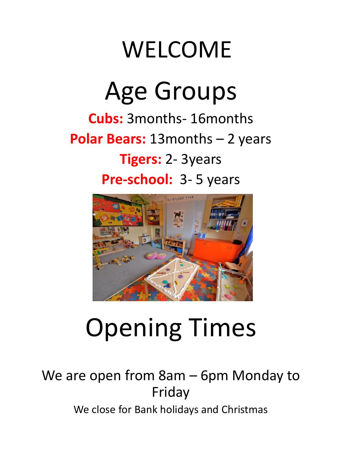#### WELCOME

#### Age Groups

**Cubs:** 3months- 16months **Polar Bears:** 13months – 2 years **Tigers:** 2- 3years **Pre-school:** 3- 5 years



# Opening Times

#### We are open from 8am – 6pm Monday to Friday We close for Bank holidays and Christmas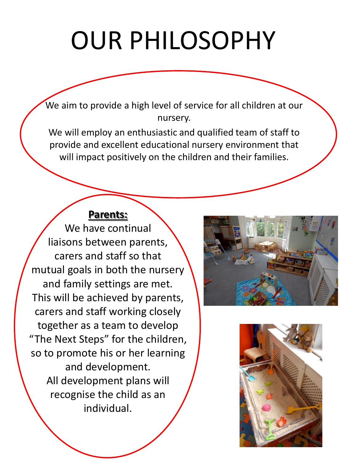## OUR PHILOSOPHY

We aim to provide a high level of service for all children at our nursery.

We will employ an enthusiastic and qualified team of staff to provide and excellent educational nursery environment that will impact positively on the children and their families.

#### **Parents:**

We have continual liaisons between parents, carers and staff so that mutual goals in both the nursery and family settings are met. This will be achieved by parents, carers and staff working closely together as a team to develop "The Next Steps" for the children, so to promote his or her learning and development. All development plans will recognise the child as an individual.



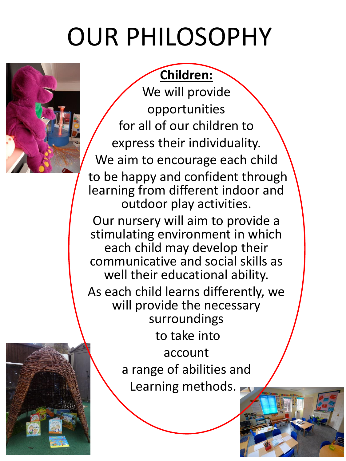# OUR PHILOSOPHY

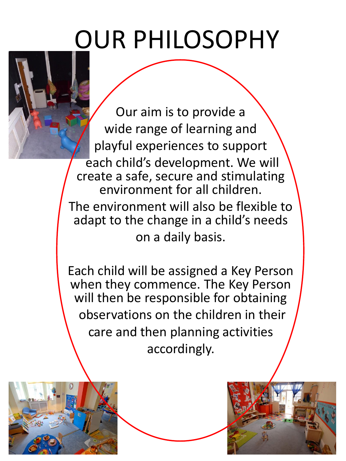### OUR PHILOSOPHY

Our aim is to provide a wide range of learning and playful experiences to support each child's development. We will create a safe, secure and stimulating environment for all children. The environment will also be flexible to adapt to the change in a child's needs on a daily basis.

Each child will be assigned a Key Person when they commence. The Key Person will then be responsible for obtaining observations on the children in their care and then planning activities accordingly.



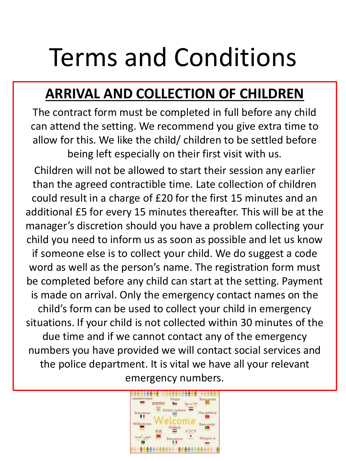# Terms and Conditions

#### **ARRIVAL AND COLLECTION OF CHILDREN**

The contract form must be completed in full before any child can attend the setting. We recommend you give extra time to allow for this. We like the child/ children to be settled before being left especially on their first visit with us.

Children will not be allowed to start their session any earlier than the agreed contractible time. Late collection of children could result in a charge of £20 for the first 15 minutes and an additional £5 for every 15 minutes thereafter. This will be at the manager's discretion should you have a problem collecting your child you need to inform us as soon as possible and let us know if someone else is to collect your child. We do suggest a code word as well as the person's name. The registration form must be completed before any child can start at the setting. Payment is made on arrival. Only the emergency contact names on the child's form can be used to collect your child in emergency situations. If your child is not collected within 30 minutes of the due time and if we cannot contact any of the emergency numbers you have provided we will contact social services and the police department. It is vital we have all your relevant emergency numbers.

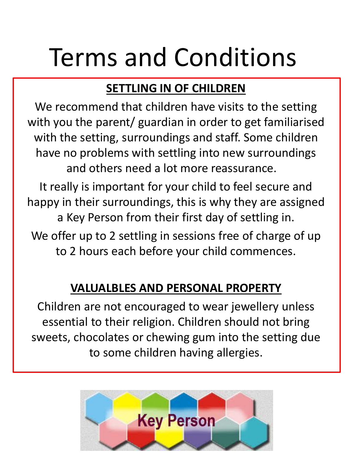# Terms and Conditions

#### **SETTLING IN OF CHILDREN**

We recommend that children have visits to the setting with you the parent/ guardian in order to get familiarised with the setting, surroundings and staff. Some children have no problems with settling into new surroundings and others need a lot more reassurance.

It really is important for your child to feel secure and happy in their surroundings, this is why they are assigned a Key Person from their first day of settling in.

We offer up to 2 settling in sessions free of charge of up to 2 hours each before your child commences.

#### **VALUALBLES AND PERSONAL PROPERTY**

Children are not encouraged to wear jewellery unless essential to their religion. Children should not bring sweets, chocolates or chewing gum into the setting due to some children having allergies.

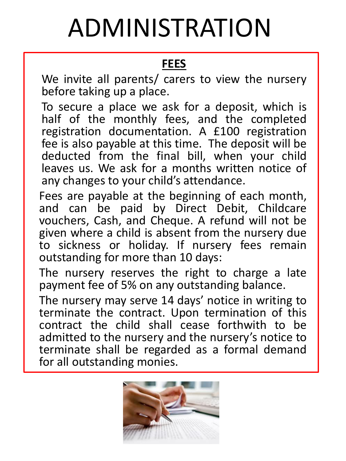# ADMINISTRATION

#### **FEES**

We invite all parents/ carers to view the nursery before taking up a place.

To secure a place we ask for a deposit, which is half of the monthly fees, and the completed registration documentation. A £100 registration fee is also payable at this time. The deposit will be deducted from the final bill, when your child leaves us. We ask for a months written notice of any changes to your child's attendance.

Fees are payable at the beginning of each month, and can be paid by Direct Debit, Childcare vouchers, Cash, and Cheque. A refund will not be given where a child is absent from the nursery due to sickness or holiday. If nursery fees remain outstanding for more than 10 days:

The nursery reserves the right to charge a late payment fee of 5% on any outstanding balance.

The nursery may serve 14 days' notice in writing to terminate the contract. Upon termination of this contract the child shall cease forthwith to be admitted to the nursery and the nursery's notice to terminate shall be regarded as a formal demand for all outstanding monies.

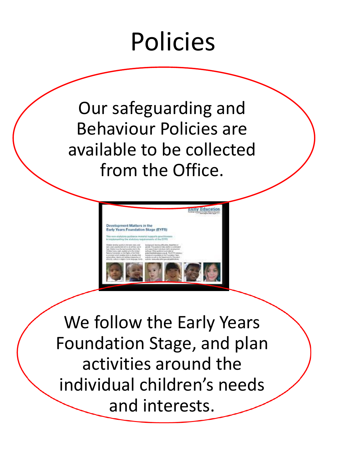### Policies

Our safeguarding and Behaviour Policies are available to be collected from the Office.



We follow the Early Years Foundation Stage, and plan activities around the individual children's needs and interests.